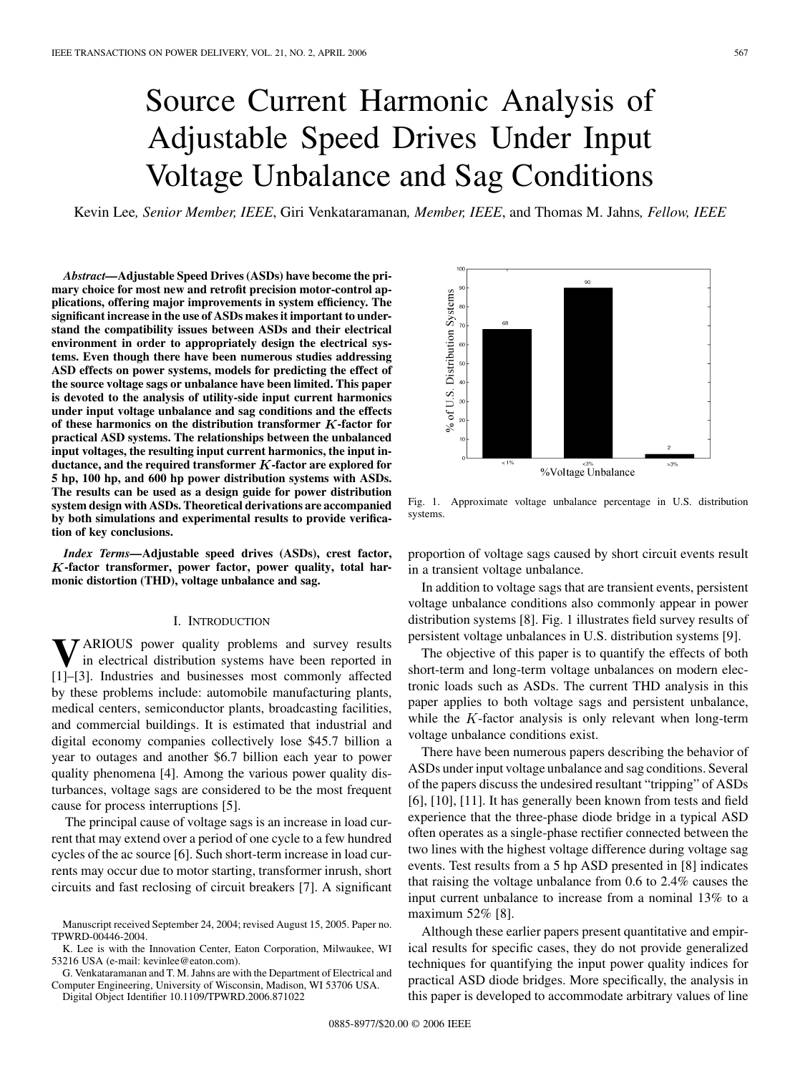# Source Current Harmonic Analysis of Adjustable Speed Drives Under Input Voltage Unbalance and Sag Conditions

Kevin Lee*, Senior Member, IEEE*, Giri Venkataramanan*, Member, IEEE*, and Thomas M. Jahns*, Fellow, IEEE*

*Abstract—***Adjustable Speed Drives (ASDs) have become the primary choice for most new and retrofit precision motor-control applications, offering major improvements in system efficiency. The significant increase in the use of ASDs makes it important to understand the compatibility issues between ASDs and their electrical environment in order to appropriately design the electrical systems. Even though there have been numerous studies addressing ASD effects on power systems, models for predicting the effect of the source voltage sags or unbalance have been limited. This paper is devoted to the analysis of utility-side input current harmonics under input voltage unbalance and sag conditions and the effects** of these harmonics on the distribution transformer K-factor for **practical ASD systems. The relationships between the unbalanced input voltages, the resulting input current harmonics, the input in**ductance, and the required transformer K-factor are explored for **5 hp, 100 hp, and 600 hp power distribution systems with ASDs. The results can be used as a design guide for power distribution system design with ASDs. Theoretical derivations are accompanied by both simulations and experimental results to provide verification of key conclusions.**

*Index Terms—***Adjustable speed drives (ASDs), crest factor, -factor transformer, power factor, power quality, total harmonic distortion (THD), voltage unbalance and sag.**

#### I. INTRODUCTION

**V**ARIOUS power quality problems and survey results in electrical distribution systems have been reported in [\[1](#page-8-0)]–[\[3\]](#page-8-0). Industries and businesses most commonly affected by these problems include: automobile manufacturing plants, medical centers, semiconductor plants, broadcasting facilities, and commercial buildings. It is estimated that industrial and digital economy companies collectively lose \$45.7 billion a year to outages and another \$6.7 billion each year to power quality phenomena [\[4](#page-8-0)]. Among the various power quality disturbances, voltage sags are considered to be the most frequent cause for process interruptions [\[5](#page-8-0)].

The principal cause of voltage sags is an increase in load current that may extend over a period of one cycle to a few hundred cycles of the ac source [[6\]](#page-8-0). Such short-term increase in load currents may occur due to motor starting, transformer inrush, short circuits and fast reclosing of circuit breakers [[7\]](#page-9-0). A significant



%Voltage Unbalance

Fig. 1. Approximate voltage unbalance percentage in U.S. distribution systems.

proportion of voltage sags caused by short circuit events result in a transient voltage unbalance.

In addition to voltage sags that are transient events, persistent voltage unbalance conditions also commonly appear in power distribution systems [[8\]](#page-9-0). Fig. 1 illustrates field survey results of persistent voltage unbalances in U.S. distribution systems [\[9](#page-9-0)].

The objective of this paper is to quantify the effects of both short-term and long-term voltage unbalances on modern electronic loads such as ASDs. The current THD analysis in this paper applies to both voltage sags and persistent unbalance, while the  $K$ -factor analysis is only relevant when long-term voltage unbalance conditions exist.

There have been numerous papers describing the behavior of ASDs under input voltage unbalance and sag conditions. Several of the papers discuss the undesired resultant "tripping" of ASDs [\[6](#page-8-0)], [\[10](#page-9-0)], [[11\]](#page-9-0). It has generally been known from tests and field experience that the three-phase diode bridge in a typical ASD often operates as a single-phase rectifier connected between the two lines with the highest voltage difference during voltage sag events. Test results from a 5 hp ASD presented in [[8\]](#page-9-0) indicates that raising the voltage unbalance from 0.6 to 2.4% causes the input current unbalance to increase from a nominal 13% to a maximum 52% [[8\]](#page-9-0).

Although these earlier papers present quantitative and empirical results for specific cases, they do not provide generalized techniques for quantifying the input power quality indices for practical ASD diode bridges. More specifically, the analysis in this paper is developed to accommodate arbitrary values of line

Manuscript received September 24, 2004; revised August 15, 2005. Paper no. TPWRD-00446-2004.

K. Lee is with the Innovation Center, Eaton Corporation, Milwaukee, WI 53216 USA (e-mail: kevinlee@eaton.com).

G. Venkataramanan and T. M. Jahns are with the Department of Electrical and Computer Engineering, University of Wisconsin, Madison, WI 53706 USA. Digital Object Identifier 10.1109/TPWRD.2006.871022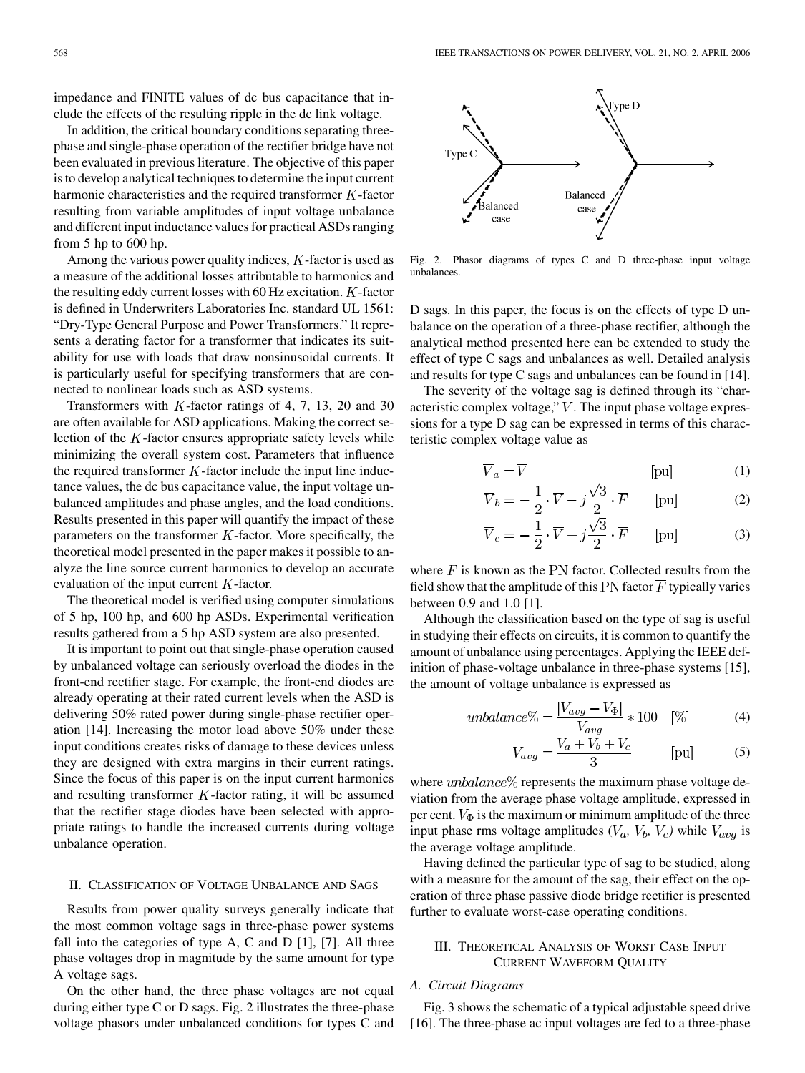impedance and FINITE values of dc bus capacitance that include the effects of the resulting ripple in the dc link voltage.

In addition, the critical boundary conditions separating threephase and single-phase operation of the rectifier bridge have not been evaluated in previous literature. The objective of this paper is to develop analytical techniques to determine the input current harmonic characteristics and the required transformer  $K$ -factor resulting from variable amplitudes of input voltage unbalance and different input inductance values for practical ASDs ranging from 5 hp to 600 hp.

Among the various power quality indices,  $K$ -factor is used as a measure of the additional losses attributable to harmonics and the resulting eddy current losses with 60 Hz excitation.  $K$ -factor is defined in Underwriters Laboratories Inc. standard UL 1561: "Dry-Type General Purpose and Power Transformers." It represents a derating factor for a transformer that indicates its suitability for use with loads that draw nonsinusoidal currents. It is particularly useful for specifying transformers that are connected to nonlinear loads such as ASD systems.

Transformers with  $K$ -factor ratings of 4, 7, 13, 20 and 30 are often available for ASD applications. Making the correct selection of the  $K$ -factor ensures appropriate safety levels while minimizing the overall system cost. Parameters that influence the required transformer  $K$ -factor include the input line inductance values, the dc bus capacitance value, the input voltage unbalanced amplitudes and phase angles, and the load conditions. Results presented in this paper will quantify the impact of these parameters on the transformer  $K$ -factor. More specifically, the theoretical model presented in the paper makes it possible to analyze the line source current harmonics to develop an accurate evaluation of the input current  $K$ -factor.

The theoretical model is verified using computer simulations of 5 hp, 100 hp, and 600 hp ASDs. Experimental verification results gathered from a 5 hp ASD system are also presented.

It is important to point out that single-phase operation caused by unbalanced voltage can seriously overload the diodes in the front-end rectifier stage. For example, the front-end diodes are already operating at their rated current levels when the ASD is delivering 50% rated power during single-phase rectifier operation [\[14](#page-9-0)]. Increasing the motor load above 50% under these input conditions creates risks of damage to these devices unless they are designed with extra margins in their current ratings. Since the focus of this paper is on the input current harmonics and resulting transformer  $K$ -factor rating, it will be assumed that the rectifier stage diodes have been selected with appropriate ratings to handle the increased currents during voltage unbalance operation.

## II. CLASSIFICATION OF VOLTAGE UNBALANCE AND SAGS

Results from power quality surveys generally indicate that the most common voltage sags in three-phase power systems fall into the categories of type A, C and D  $[1]$  $[1]$ ,  $[7]$  $[7]$ . All three phase voltages drop in magnitude by the same amount for type A voltage sags.

On the other hand, the three phase voltages are not equal during either type C or D sags. Fig. 2 illustrates the three-phase voltage phasors under unbalanced conditions for types C and



Fig. 2. Phasor diagrams of types C and D three-phase input voltage unbalances.

D sags. In this paper, the focus is on the effects of type D unbalance on the operation of a three-phase rectifier, although the analytical method presented here can be extended to study the effect of type C sags and unbalances as well. Detailed analysis and results for type C sags and unbalances can be found in [[14\]](#page-9-0).

The severity of the voltage sag is defined through its "characteristic complex voltage,"  $\overline{V}$ . The input phase voltage expressions for a type D sag can be expressed in terms of this characteristic complex voltage value as

$$
\overline{V}_a = \overline{V}
$$
 [pu] (1)

$$
\overline{V}_b = -\frac{1}{2} \cdot \overline{V} - j\frac{\sqrt{3}}{2} \cdot \overline{F} \qquad \text{[pu]} \tag{2}
$$

$$
\overline{V}_c = -\frac{1}{2} \cdot \overline{V} + j\frac{\sqrt{3}}{2} \cdot \overline{F} \qquad \text{[pu]}
$$
 (3)

where  $\overline{F}$  is known as the PN factor. Collected results from the field show that the amplitude of this PN factor  $\overline{F}$  typically varies between 0.9 and 1.0 [[1\]](#page-8-0).

Although the classification based on the type of sag is useful in studying their effects on circuits, it is common to quantify the amount of unbalance using percentages. Applying the IEEE definition of phase-voltage unbalance in three-phase systems [[15\]](#page-9-0), the amount of voltage unbalance is expressed as

$$
unbalance\% = \frac{|V_{avg} - V_{\Phi}|}{V_{avg}} * 100 \quad [\%]
$$
 (4)

$$
V_{avg} = \frac{V_a + V_b + V_c}{3} \qquad \text{[pu]} \tag{5}
$$

where  $unbalance\%$  represents the maximum phase voltage deviation from the average phase voltage amplitude, expressed in per cent.  $V_{\Phi}$  is the maximum or minimum amplitude of the three input phase rms voltage amplitudes  $(V_a, V_b, V_c)$  while  $V_{avg}$  is the average voltage amplitude.

Having defined the particular type of sag to be studied, along with a measure for the amount of the sag, their effect on the operation of three phase passive diode bridge rectifier is presented further to evaluate worst-case operating conditions.

## III. THEORETICAL ANALYSIS OF WORST CASE INPUT CURRENT WAVEFORM QUALITY

## *A. Circuit Diagrams*

Fig. 3 shows the schematic of a typical adjustable speed drive [[16\]](#page-9-0). The three-phase ac input voltages are fed to a three-phase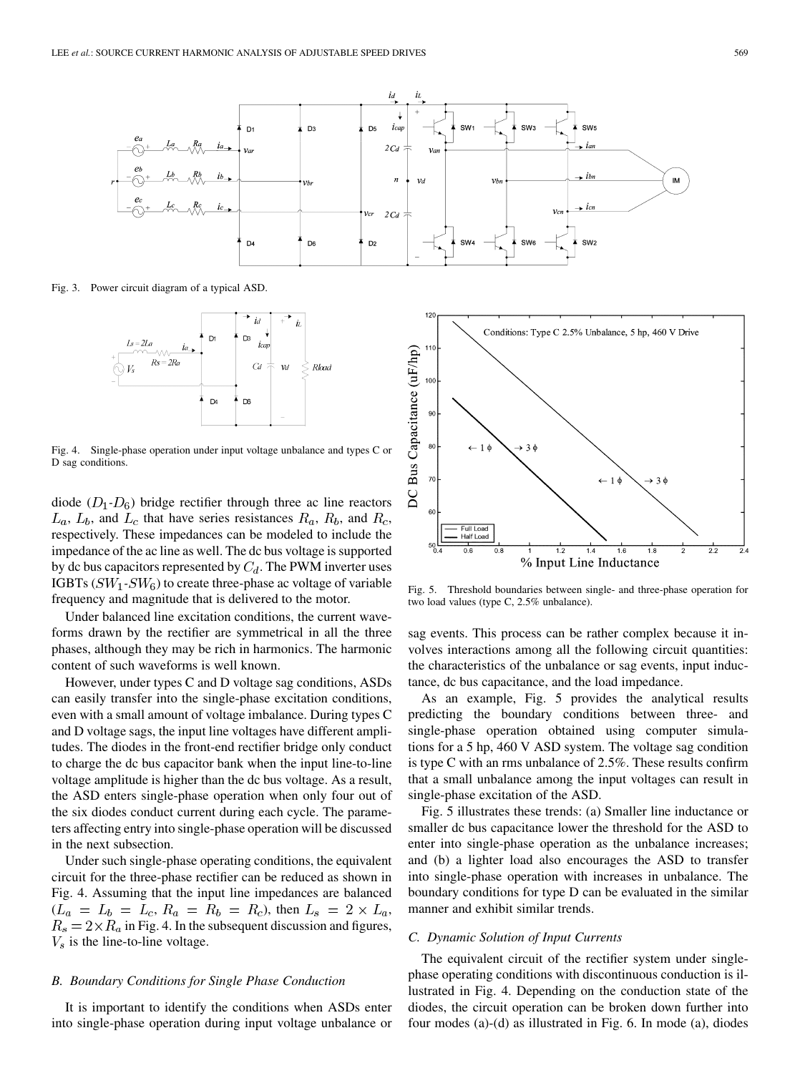

Fig. 3. Power circuit diagram of a typical ASD.



Fig. 4. Single-phase operation under input voltage unbalance and types C or D sag conditions.

diode  $(D_1 - D_6)$  bridge rectifier through three ac line reactors  $L_a$ ,  $L_b$ , and  $L_c$  that have series resistances  $R_a$ ,  $R_b$ , and  $R_c$ , respectively. These impedances can be modeled to include the impedance of the ac line as well. The dc bus voltage is supported by dc bus capacitors represented by  $C_d$ . The PWM inverter uses IGBTs  $(SW_1$ - $SW_6$ ) to create three-phase ac voltage of variable frequency and magnitude that is delivered to the motor.

Under balanced line excitation conditions, the current waveforms drawn by the rectifier are symmetrical in all the three phases, although they may be rich in harmonics. The harmonic content of such waveforms is well known.

However, under types C and D voltage sag conditions, ASDs can easily transfer into the single-phase excitation conditions, even with a small amount of voltage imbalance. During types C and D voltage sags, the input line voltages have different amplitudes. The diodes in the front-end rectifier bridge only conduct to charge the dc bus capacitor bank when the input line-to-line voltage amplitude is higher than the dc bus voltage. As a result, the ASD enters single-phase operation when only four out of the six diodes conduct current during each cycle. The parameters affecting entry into single-phase operation will be discussed in the next subsection.

Under such single-phase operating conditions, the equivalent circuit for the three-phase rectifier can be reduced as shown in Fig. 4. Assuming that the input line impedances are balanced  $(L_a = L_b = L_c, R_a = R_b = R_c)$ , then  $L_s = 2 \times L_a$ ,  $R_s = 2 \times R_a$  in Fig. 4. In the subsequent discussion and figures,  $V<sub>s</sub>$  is the line-to-line voltage.

## *B. Boundary Conditions for Single Phase Conduction*

It is important to identify the conditions when ASDs enter into single-phase operation during input voltage unbalance or



Fig. 5. Threshold boundaries between single- and three-phase operation for two load values (type C, 2.5% unbalance).

sag events. This process can be rather complex because it involves interactions among all the following circuit quantities: the characteristics of the unbalance or sag events, input inductance, dc bus capacitance, and the load impedance.

As an example, Fig. 5 provides the analytical results predicting the boundary conditions between three- and single-phase operation obtained using computer simulations for a 5 hp, 460 V ASD system. The voltage sag condition is type C with an rms unbalance of 2.5%. These results confirm that a small unbalance among the input voltages can result in single-phase excitation of the ASD.

Fig. 5 illustrates these trends: (a) Smaller line inductance or smaller dc bus capacitance lower the threshold for the ASD to enter into single-phase operation as the unbalance increases; and (b) a lighter load also encourages the ASD to transfer into single-phase operation with increases in unbalance. The boundary conditions for type D can be evaluated in the similar manner and exhibit similar trends.

## *C. Dynamic Solution of Input Currents*

The equivalent circuit of the rectifier system under singlephase operating conditions with discontinuous conduction is illustrated in Fig. 4. Depending on the conduction state of the diodes, the circuit operation can be broken down further into four modes (a)-(d) as illustrated in Fig. 6. In mode (a), diodes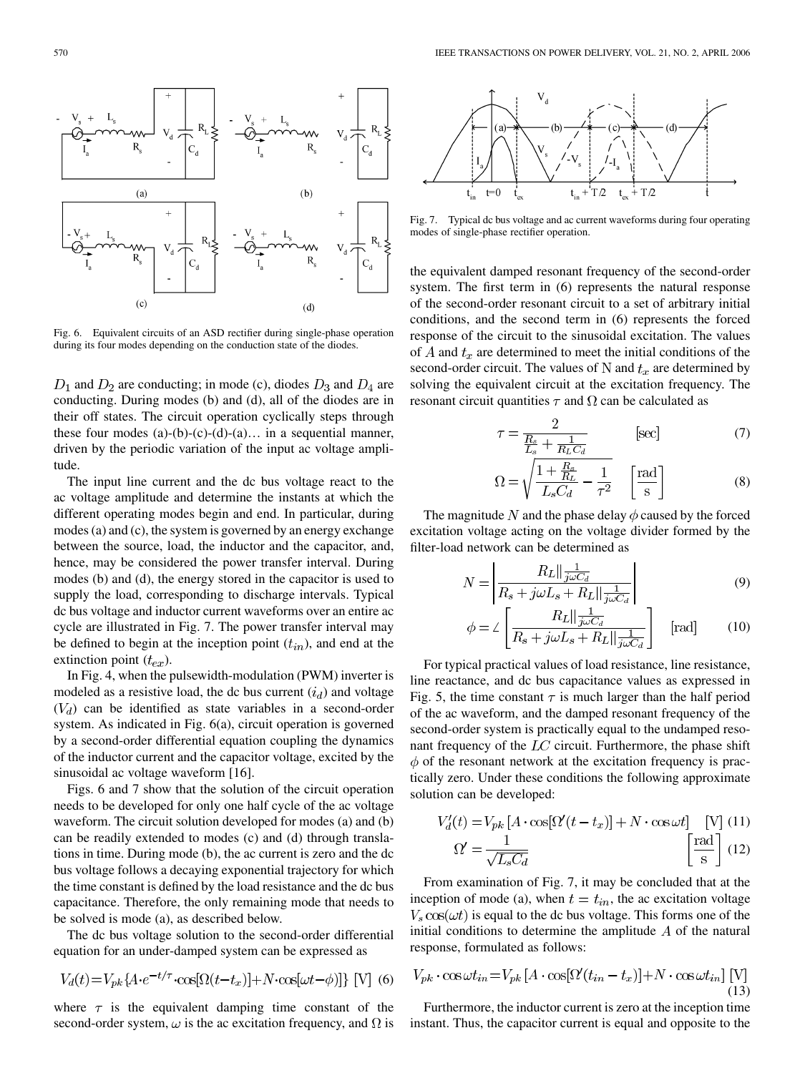

Fig. 6. Equivalent circuits of an ASD rectifier during single-phase operation during its four modes depending on the conduction state of the diodes.

 $D_1$  and  $D_2$  are conducting; in mode (c), diodes  $D_3$  and  $D_4$  are conducting. During modes (b) and (d), all of the diodes are in their off states. The circuit operation cyclically steps through these four modes  $(a)-(b)-(c)-(d)-(a)$ … in a sequential manner, driven by the periodic variation of the input ac voltage amplitude.

The input line current and the dc bus voltage react to the ac voltage amplitude and determine the instants at which the different operating modes begin and end. In particular, during modes (a) and (c), the system is governed by an energy exchange between the source, load, the inductor and the capacitor, and, hence, may be considered the power transfer interval. During modes (b) and (d), the energy stored in the capacitor is used to supply the load, corresponding to discharge intervals. Typical dc bus voltage and inductor current waveforms over an entire ac cycle are illustrated in Fig. 7. The power transfer interval may be defined to begin at the inception point  $(t_{in})$ , and end at the extinction point  $(t_{ex})$ .

In Fig. 4, when the pulsewidth-modulation (PWM) inverter is modeled as a resistive load, the dc bus current  $(i_d)$  and voltage  $(V_d)$  can be identified as state variables in a second-order system. As indicated in Fig. 6(a), circuit operation is governed by a second-order differential equation coupling the dynamics of the inductor current and the capacitor voltage, excited by the sinusoidal ac voltage waveform [\[16](#page-9-0)].

Figs. 6 and 7 show that the solution of the circuit operation needs to be developed for only one half cycle of the ac voltage waveform. The circuit solution developed for modes (a) and (b) can be readily extended to modes (c) and (d) through translations in time. During mode (b), the ac current is zero and the dc bus voltage follows a decaying exponential trajectory for which the time constant is defined by the load resistance and the dc bus capacitance. Therefore, the only remaining mode that needs to be solved is mode (a), as described below.

The dc bus voltage solution to the second-order differential equation for an under-damped system can be expressed as

$$
V_d(t) = V_{pk} \{ A \cdot e^{-t/\tau} \cdot \cos[\Omega(t - t_x)] + N \cdot \cos[\omega t - \phi)] \} \text{ [V] (6)}
$$

where  $\tau$  is the equivalent damping time constant of the second-order system,  $\omega$  is the ac excitation frequency, and  $\Omega$  is



Fig. 7. Typical dc bus voltage and ac current waveforms during four operating modes of single-phase rectifier operation.

the equivalent damped resonant frequency of the second-order system. The first term in  $(6)$  represents the natural response of the second-order resonant circuit to a set of arbitrary initial conditions, and the second term in (6) represents the forced response of the circuit to the sinusoidal excitation. The values of A and  $t_x$  are determined to meet the initial conditions of the second-order circuit. The values of N and  $t_x$  are determined by solving the equivalent circuit at the excitation frequency. The resonant circuit quantities  $\tau$  and  $\Omega$  can be calculated as

$$
\tau = \frac{2}{\frac{R_s}{L_s} + \frac{1}{R_L C_d}} \quad \text{[sec]} \tag{7}
$$

$$
\Omega = \sqrt{\frac{1 + \frac{R_s}{R_L}}{L_s C_d}} - \frac{1}{\tau^2} \quad \left[\frac{\text{rad}}{\text{s}}\right] \tag{8}
$$

The magnitude N and the phase delay  $\phi$  caused by the forced excitation voltage acting on the voltage divider formed by the filter-load network can be determined as

$$
N = \left| \frac{R_L || \frac{1}{j\omega C_d}}{R_s + j\omega L_s + R_L || \frac{1}{j\omega C_d}} \right|
$$
\n<sup>(9)</sup>

$$
\phi = \angle \left[ \frac{R_L ||\frac{1}{j\omega C_d}}{R_s + j\omega L_s + R_L ||\frac{1}{j\omega C_d}} \right] \quad \text{[rad]} \tag{10}
$$

For typical practical values of load resistance, line resistance, line reactance, and dc bus capacitance values as expressed in Fig. 5, the time constant  $\tau$  is much larger than the half period of the ac waveform, and the damped resonant frequency of the second-order system is practically equal to the undamped resonant frequency of the  $LC$  circuit. Furthermore, the phase shift  $\phi$  of the resonant network at the excitation frequency is practically zero. Under these conditions the following approximate solution can be developed:

$$
V_d'(t) = V_{pk}[A \cdot \cos[\Omega'(t - t_x)] + N \cdot \cos \omega t] \quad [V] \tag{11}
$$

$$
\Omega' = \frac{1}{\sqrt{L_s C_d}} \qquad \left[\frac{\text{rad}}{\text{s}}\right] \tag{12}
$$

From examination of Fig. 7, it may be concluded that at the inception of mode (a), when  $t = t_{in}$ , the ac excitation voltage  $V_s \cos(\omega t)$  is equal to the dc bus voltage. This forms one of the initial conditions to determine the amplitude  $A$  of the natural response, formulated as follows:

$$
V_{pk} \cdot \cos \omega t_{in} = V_{pk} \left[ A \cdot \cos[\Omega'(t_{in} - t_x)] + N \cdot \cos \omega t_{in} \right] \text{ [V]}
$$
\n(13)

Furthermore, the inductor current is zero at the inception time instant. Thus, the capacitor current is equal and opposite to the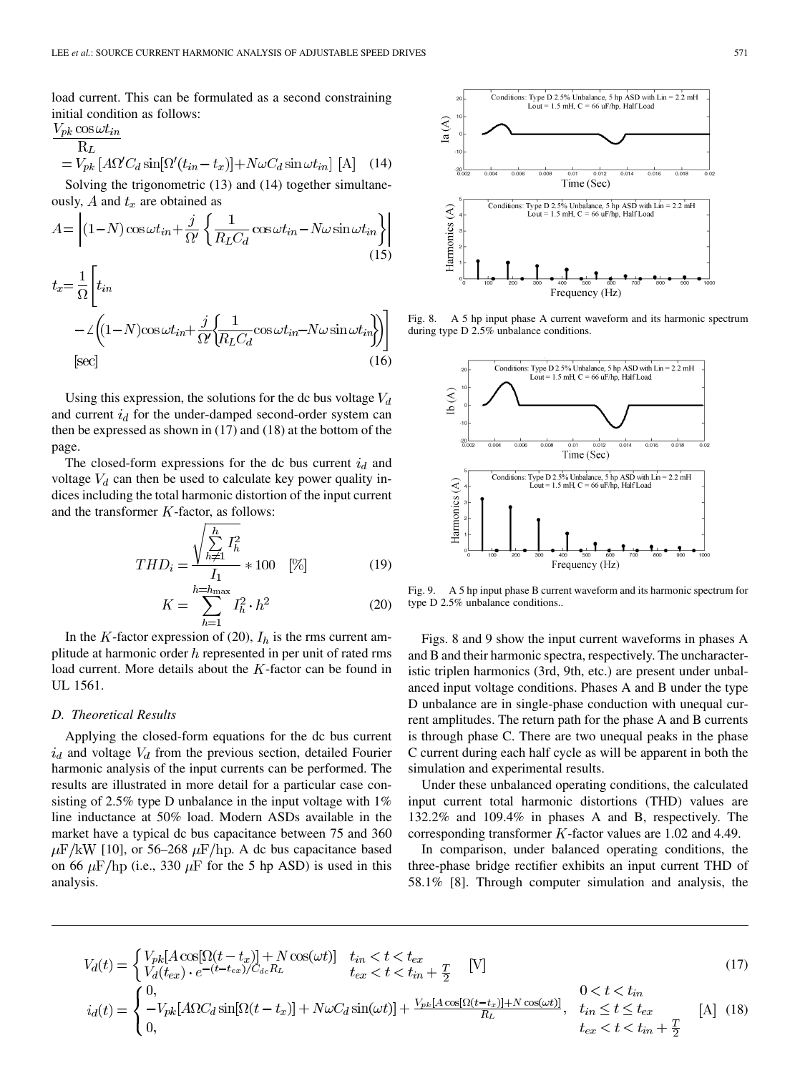load current. This can be formulated as a second constraining initial condition as follows:

$$
\frac{V_{pk} \cos \omega t_{in}}{R_L}
$$
  
=  $V_{pk} [A\Omega' C_d \sin[\Omega'(t_{in} - t_x)] + N\omega C_d \sin \omega t_{in}]$  [A] (14)  
Solving the trigonometric (13) and (14) together simultaneously

Solving the trigonometric  $(13)$  and  $(14)$  together ously,  $A$  and  $t_x$  are obtained as

$$
A = \left| (1 - N)\cos\omega t_{in} + \frac{j}{\Omega'} \left\{ \frac{1}{R_L C_d} \cos\omega t_{in} - N\omega \sin\omega t_{in} \right\} \right|
$$
  
\n
$$
t_x = \frac{1}{\Omega} \left[ t_{in}
$$
  
\n
$$
- \angle \left( (1 - N)\cos\omega t_{in} + \frac{j}{\Omega'} \left\{ \frac{1}{R_L C_d} \cos\omega t_{in} - N\omega \sin\omega t_{in} \right\} \right) \right]
$$
  
\n[see] (16)

Using this expression, the solutions for the dc bus voltage  $V_d$ and current  $i_d$  for the under-damped second-order system can then be expressed as shown in (17) and (18) at the bottom of the page.

The closed-form expressions for the dc bus current  $i_d$  and voltage  $V_d$  can then be used to calculate key power quality indices including the total harmonic distortion of the input current and the transformer  $K$ -factor, as follows:

$$
THD_i = \frac{\sqrt{\sum_{h=1}^h I_h^2}}{I_1} * 100 \quad [\%]
$$
 (19)

$$
K = \sum_{h=1}^{h=h_{\text{max}}} I_h^2 \cdot h^2
$$
 (20)

In the K-factor expression of (20),  $I<sub>h</sub>$  is the rms current amplitude at harmonic order  $h$  represented in per unit of rated rms load current. More details about the  $K$ -factor can be found in UL 1561.

## *D. Theoretical Results*

Applying the closed-form equations for the dc bus current  $i_d$  and voltage  $V_d$  from the previous section, detailed Fourier harmonic analysis of the input currents can be performed. The results are illustrated in more detail for a particular case consisting of 2.5% type D unbalance in the input voltage with 1% line inductance at 50% load. Modern ASDs available in the market have a typical dc bus capacitance between 75 and 360  $\mu$ F/kW [\[10\]](#page-9-0), or 56–268  $\mu$ F/hp. A dc bus capacitance based on 66  $\mu$ F/hp (i.e., 330  $\mu$ F for the 5 hp ASD) is used in this analysis.



Fig. 8. A 5 hp input phase A current waveform and its harmonic spectrum during type D 2.5% unbalance conditions.



Fig. 9. A 5 hp input phase B current waveform and its harmonic spectrum for type D 2.5% unbalance conditions..

Figs. 8 and 9 show the input current waveforms in phases A and B and their harmonic spectra, respectively. The uncharacteristic triplen harmonics (3rd, 9th, etc.) are present under unbalanced input voltage conditions. Phases A and B under the type D unbalance are in single-phase conduction with unequal current amplitudes. The return path for the phase A and B currents is through phase C. There are two unequal peaks in the phase C current during each half cycle as will be apparent in both the simulation and experimental results.

Under these unbalanced operating conditions, the calculated input current total harmonic distortions (THD) values are 132.2% and 109.4% in phases A and B, respectively. The corresponding transformer  $K$ -factor values are 1.02 and 4.49.

In comparison, under balanced operating conditions, the three-phase bridge rectifier exhibits an input current THD of 58.1% [\[8](#page-9-0)]. Through computer simulation and analysis, the

$$
V_d(t) = \begin{cases} V_{pk}[A\cos[\Omega(t-t_x)] + N\cos(\omega t)] & t_{in} < t < t_{ex} \\ V_d(t_{ex}) \cdot e^{-(t-t_{ex})/C_{dc}R_L} & t_{ex} < t < t_{in} + \frac{T}{2} \end{cases}
$$
 [V]  
\n
$$
i_d(t) = \begin{cases} 0, & 0 < t < t_{in} \\ -V_{pk}[A\Omega C_d\sin[\Omega(t-t_x)] + N\omega C_d\sin(\omega t)] + \frac{V_{pk}[A\cos[\Omega(t-t_x)] + N\cos(\omega t)]}{R_L}, & t_{in} \le t \le t_{ex} \\ 0, & t_{ex} < t < t_{in} + \frac{T}{2} \end{cases}
$$
 [A] (18)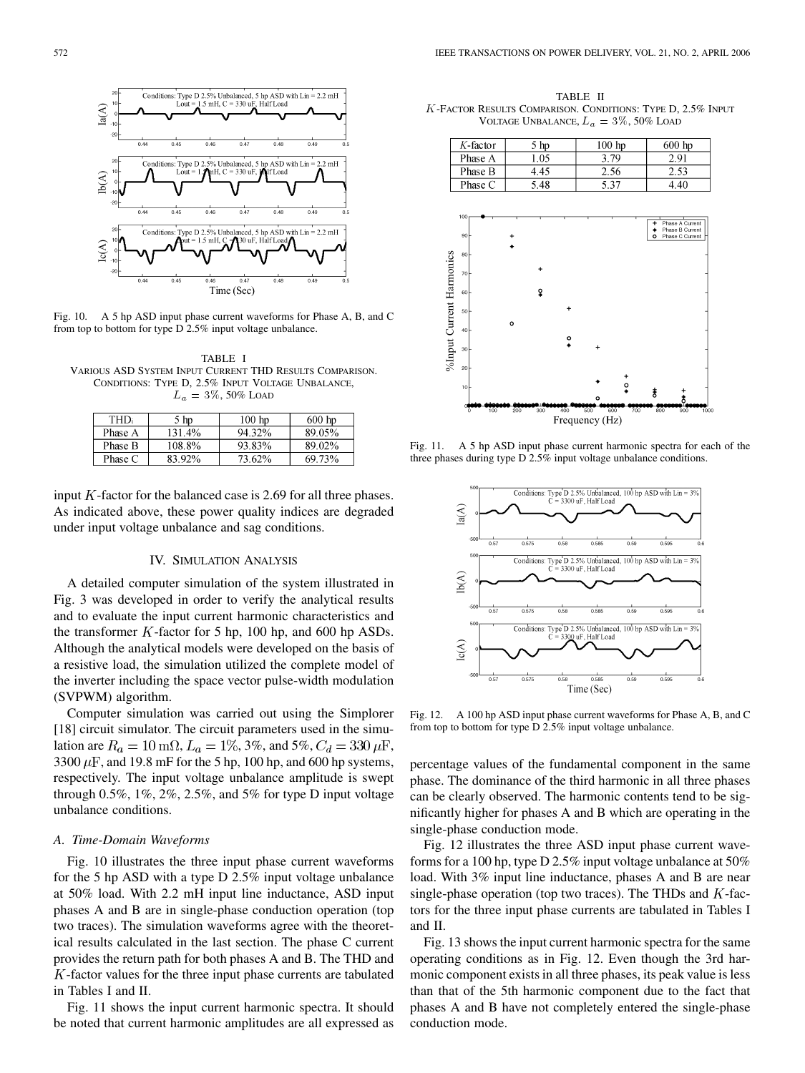

Fig. 10. A 5 hp ASD input phase current waveforms for Phase A, B, and C from top to bottom for type D 2.5% input voltage unbalance.

TABLE I VARIOUS ASD SYSTEM INPUT CURRENT THD RESULTS COMPARISON. CONDITIONS: TYPE D, 2.5% INPUT VOLTAGE UNBALANCE,  $L_a = 3\%, 50\%$  LOAD

| <b>THD:</b> | 5 <sub>hp</sub> | 100 hp | $600$ hp |
|-------------|-----------------|--------|----------|
| Phase A     | 131.4%          | 94.32% | 89.05%   |
| Phase B     | 108.8%          | 93.83% | 89.02%   |
| Phase C     | 83.92%          | 73.62% | 69.73%   |

input  $K$ -factor for the balanced case is 2.69 for all three phases. As indicated above, these power quality indices are degraded under input voltage unbalance and sag conditions.

#### IV. SIMULATION ANALYSIS

A detailed computer simulation of the system illustrated in Fig. 3 was developed in order to verify the analytical results and to evaluate the input current harmonic characteristics and the transformer  $K$ -factor for 5 hp, 100 hp, and 600 hp ASDs. Although the analytical models were developed on the basis of a resistive load, the simulation utilized the complete model of the inverter including the space vector pulse-width modulation (SVPWM) algorithm.

Computer simulation was carried out using the Simplorer [[18\]](#page-9-0) circuit simulator. The circuit parameters used in the simulation are  $R_a = 10 \text{ m}\Omega$ ,  $L_a = 1\%, 3\%, \text{ and } 5\%, C_d = 330 \text{ }\mu\text{F}$ , 3300  $\mu$ F, and 19.8 mF for the 5 hp, 100 hp, and 600 hp systems, respectively. The input voltage unbalance amplitude is swept through  $0.5\%$ ,  $1\%$ ,  $2\%$ ,  $2.5\%$ , and  $5\%$  for type D input voltage unbalance conditions.

#### *A. Time-Domain Waveforms*

Fig. 10 illustrates the three input phase current waveforms for the 5 hp ASD with a type D 2.5% input voltage unbalance at 50% load. With 2.2 mH input line inductance, ASD input phases A and B are in single-phase conduction operation (top two traces). The simulation waveforms agree with the theoretical results calculated in the last section. The phase C current provides the return path for both phases A and B. The THD and  $K$ -factor values for the three input phase currents are tabulated in Tables I and II.

Fig. 11 shows the input current harmonic spectra. It should be noted that current harmonic amplitudes are all expressed as

TABLE II K-FACTOR RESULTS COMPARISON. CONDITIONS: TYPE D, 2.5% INPUT VOLTAGE UNBALANCE,  $L_a = 3\%$ , 50% LOAD



Fig. 11. A 5 hp ASD input phase current harmonic spectra for each of the three phases during type  $D$  2.5% input voltage unbalance conditions.



Fig. 12. A 100 hp ASD input phase current waveforms for Phase A, B, and C from top to bottom for type D 2.5% input voltage unbalance.

percentage values of the fundamental component in the same phase. The dominance of the third harmonic in all three phases can be clearly observed. The harmonic contents tend to be significantly higher for phases A and B which are operating in the single-phase conduction mode.

Fig. 12 illustrates the three ASD input phase current waveforms for a 100 hp, type D 2.5% input voltage unbalance at 50% load. With 3% input line inductance, phases A and B are near single-phase operation (top two traces). The THDs and  $K$ -factors for the three input phase currents are tabulated in Tables I and II.

Fig. 13 shows the input current harmonic spectra for the same operating conditions as in Fig. 12. Even though the 3rd harmonic component exists in all three phases, its peak value is less than that of the 5th harmonic component due to the fact that phases A and B have not completely entered the single-phase conduction mode.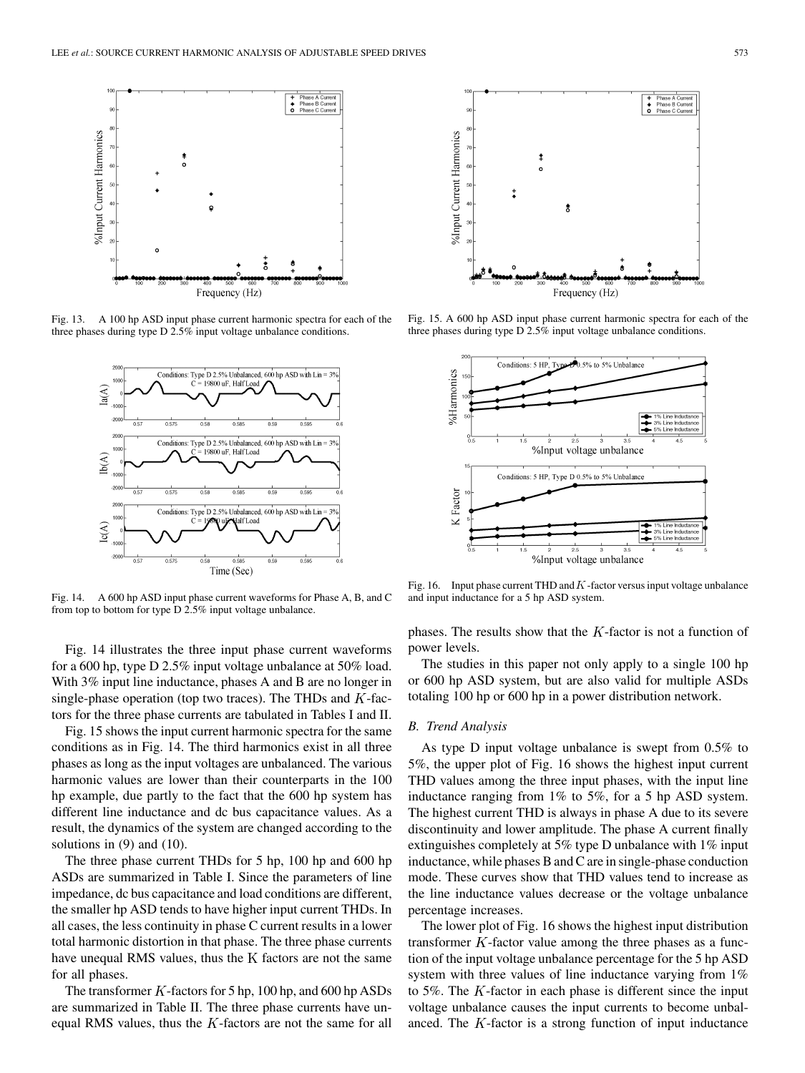

Fig. 13. A 100 hp ASD input phase current harmonic spectra for each of the three phases during type D 2.5% input voltage unbalance conditions.



Fig. 14. A 600 hp ASD input phase current waveforms for Phase A, B, and C from top to bottom for type D 2.5% input voltage unbalance.

Fig. 14 illustrates the three input phase current waveforms for a 600 hp, type D 2.5% input voltage unbalance at 50% load. With 3% input line inductance, phases A and B are no longer in single-phase operation (top two traces). The THDs and  $K$ -factors for the three phase currents are tabulated in Tables I and II.

Fig. 15 shows the input current harmonic spectra for the same conditions as in Fig. 14. The third harmonics exist in all three phases as long as the input voltages are unbalanced. The various harmonic values are lower than their counterparts in the 100 hp example, due partly to the fact that the 600 hp system has different line inductance and dc bus capacitance values. As a result, the dynamics of the system are changed according to the solutions in (9) and (10).

The three phase current THDs for 5 hp, 100 hp and 600 hp ASDs are summarized in Table I. Since the parameters of line impedance, dc bus capacitance and load conditions are different, the smaller hp ASD tends to have higher input current THDs. In all cases, the less continuity in phase C current results in a lower total harmonic distortion in that phase. The three phase currents have unequal RMS values, thus the K factors are not the same for all phases.

The transformer  $K$ -factors for 5 hp, 100 hp, and 600 hp ASDs are summarized in Table II. The three phase currents have unequal RMS values, thus the  $K$ -factors are not the same for all



Fig. 15. A 600 hp ASD input phase current harmonic spectra for each of the three phases during type D 2.5% input voltage unbalance conditions.



Fig. 16. Input phase current THD and  $K$ -factor versus input voltage unbalance and input inductance for a 5 hp ASD system.

phases. The results show that the  $K$ -factor is not a function of power levels.

The studies in this paper not only apply to a single 100 hp or 600 hp ASD system, but are also valid for multiple ASDs totaling 100 hp or 600 hp in a power distribution network.

#### *B. Trend Analysis*

As type D input voltage unbalance is swept from 0.5% to 5%, the upper plot of Fig. 16 shows the highest input current THD values among the three input phases, with the input line inductance ranging from 1% to 5%, for a 5 hp ASD system. The highest current THD is always in phase A due to its severe discontinuity and lower amplitude. The phase A current finally extinguishes completely at 5% type D unbalance with 1% input inductance, while phases B and C are in single-phase conduction mode. These curves show that THD values tend to increase as the line inductance values decrease or the voltage unbalance percentage increases.

The lower plot of Fig. 16 shows the highest input distribution transformer  $K$ -factor value among the three phases as a function of the input voltage unbalance percentage for the 5 hp ASD system with three values of line inductance varying from 1% to 5%. The  $K$ -factor in each phase is different since the input voltage unbalance causes the input currents to become unbalanced. The  $K$ -factor is a strong function of input inductance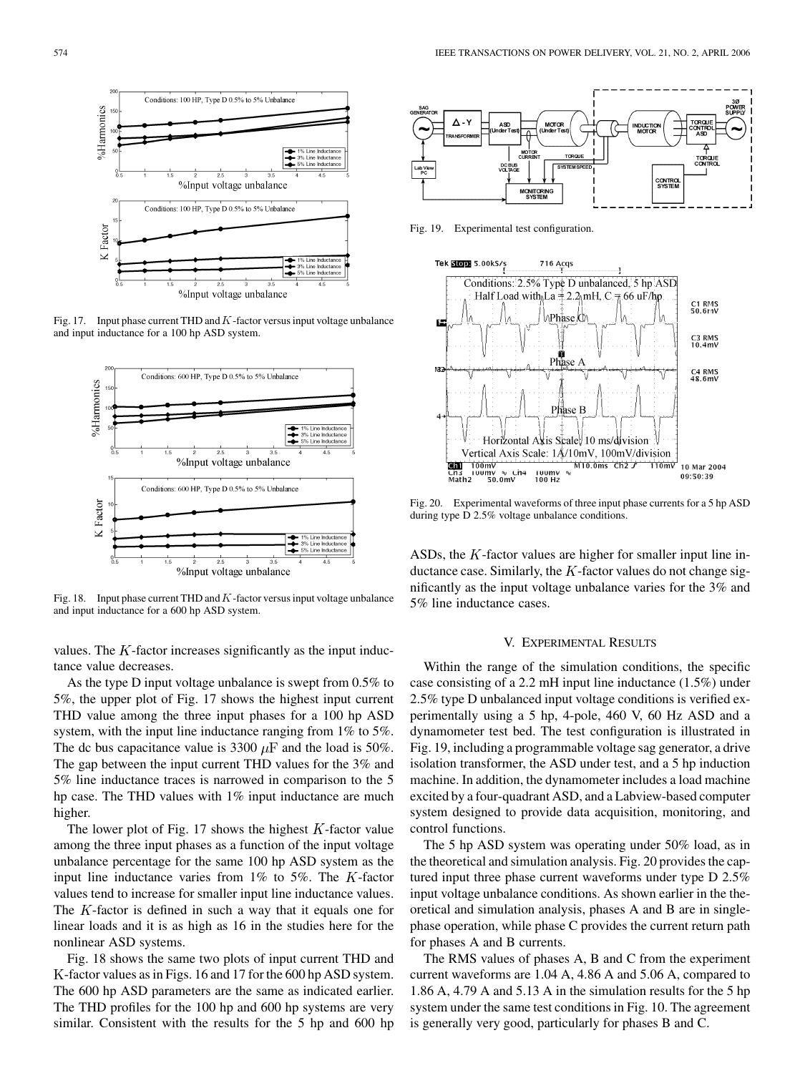

Fig. 17. Input phase current THD and  $K$ -factor versus input voltage unbalance and input inductance for a 100 hp ASD system.



Fig. 18. Input phase current THD and  $K$ -factor versus input voltage unbalance and input inductance for a 600 hp ASD system.

values. The  $K$ -factor increases significantly as the input inductance value decreases.

As the type D input voltage unbalance is swept from 0.5% to 5%, the upper plot of Fig. 17 shows the highest input current THD value among the three input phases for a 100 hp ASD system, with the input line inductance ranging from  $1\%$  to  $5\%$ . The dc bus capacitance value is 3300  $\mu$ F and the load is 50%. The gap between the input current THD values for the 3% and 5% line inductance traces is narrowed in comparison to the 5 hp case. The THD values with 1% input inductance are much higher.

The lower plot of Fig. 17 shows the highest  $K$ -factor value among the three input phases as a function of the input voltage unbalance percentage for the same 100 hp ASD system as the input line inductance varies from  $1\%$  to 5%. The K-factor values tend to increase for smaller input line inductance values. The  $K$ -factor is defined in such a way that it equals one for linear loads and it is as high as 16 in the studies here for the nonlinear ASD systems.

Fig. 18 shows the same two plots of input current THD and -factor values as in Figs. 16 and 17 for the 600 hp ASD system. The 600 hp ASD parameters are the same as indicated earlier. The THD profiles for the 100 hp and 600 hp systems are very similar. Consistent with the results for the 5 hp and 600 hp



Fig. 19. Experimental test configuration.



Fig. 20. Experimental waveforms of three input phase currents for a 5 hp ASD during type D 2.5% voltage unbalance conditions.

ASDs, the  $K$ -factor values are higher for smaller input line inductance case. Similarly, the  $K$ -factor values do not change significantly as the input voltage unbalance varies for the 3% and 5% line inductance cases.

#### V. EXPERIMENTAL RESULTS

Within the range of the simulation conditions, the specific case consisting of a 2.2 mH input line inductance (1.5%) under 2.5% type D unbalanced input voltage conditions is verified experimentally using a 5 hp, 4-pole, 460 V, 60 Hz ASD and a dynamometer test bed. The test configuration is illustrated in Fig. 19, including a programmable voltage sag generator, a drive isolation transformer, the ASD under test, and a 5 hp induction machine. In addition, the dynamometer includes a load machine excited by a four-quadrant ASD, and a Labview-based computer system designed to provide data acquisition, monitoring, and control functions.

The 5 hp ASD system was operating under 50% load, as in the theoretical and simulation analysis. Fig. 20 provides the captured input three phase current waveforms under type D 2.5% input voltage unbalance conditions. As shown earlier in the theoretical and simulation analysis, phases A and B are in singlephase operation, while phase C provides the current return path for phases A and B currents.

The RMS values of phases A, B and C from the experiment current waveforms are 1.04 A, 4.86 A and 5.06 A, compared to 1.86 A, 4.79 A and 5.13 A in the simulation results for the 5 hp system under the same test conditions in Fig. 10. The agreement is generally very good, particularly for phases B and C.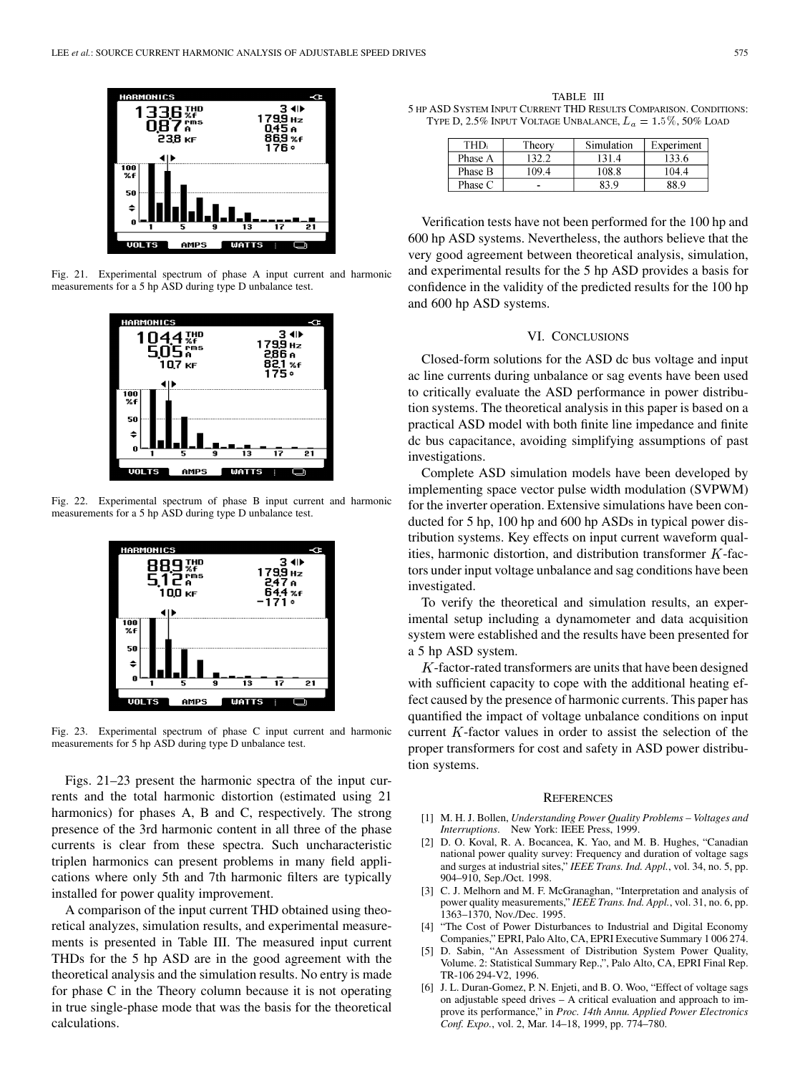<span id="page-8-0"></span>

Fig. 21. Experimental spectrum of phase A input current and harmonic measurements for a 5 hp ASD during type D unbalance test.



Fig. 22. Experimental spectrum of phase B input current and harmonic measurements for a 5 hp ASD during type D unbalance test.



Fig. 23. Experimental spectrum of phase C input current and harmonic measurements for 5 hp ASD during type D unbalance test.

Figs. 21–23 present the harmonic spectra of the input currents and the total harmonic distortion (estimated using 21 harmonics) for phases A, B and C, respectively. The strong presence of the 3rd harmonic content in all three of the phase currents is clear from these spectra. Such uncharacteristic triplen harmonics can present problems in many field applications where only 5th and 7th harmonic filters are typically installed for power quality improvement.

A comparison of the input current THD obtained using theoretical analyzes, simulation results, and experimental measurements is presented in Table III. The measured input current THDs for the 5 hp ASD are in the good agreement with the theoretical analysis and the simulation results. No entry is made for phase C in the Theory column because it is not operating in true single-phase mode that was the basis for the theoretical calculations.

TABLE III 5 HP ASD SYSTEM INPUT CURRENT THD RESULTS COMPARISON. CONDITIONS: TYPE D, 2.5% INPUT VOLTAGE UNBALANCE,  $L_a = 1.5\%$ , 50% LOAD

| <b>THD</b> | Theorv  | Simulation | Experiment |
|------------|---------|------------|------------|
| Phase A    | 1 2 2 1 | 1314       | 133.6      |
| Phase B    | 109.4   | 108.8      | 1044       |
| Phase C    | -       |            |            |

Verification tests have not been performed for the 100 hp and 600 hp ASD systems. Nevertheless, the authors believe that the very good agreement between theoretical analysis, simulation, and experimental results for the 5 hp ASD provides a basis for confidence in the validity of the predicted results for the 100 hp and 600 hp ASD systems.

#### VI. CONCLUSIONS

Closed-form solutions for the ASD dc bus voltage and input ac line currents during unbalance or sag events have been used to critically evaluate the ASD performance in power distribution systems. The theoretical analysis in this paper is based on a practical ASD model with both finite line impedance and finite dc bus capacitance, avoiding simplifying assumptions of past investigations.

Complete ASD simulation models have been developed by implementing space vector pulse width modulation (SVPWM) for the inverter operation. Extensive simulations have been conducted for 5 hp, 100 hp and 600 hp ASDs in typical power distribution systems. Key effects on input current waveform qualities, harmonic distortion, and distribution transformer  $K$ -factors under input voltage unbalance and sag conditions have been investigated.

To verify the theoretical and simulation results, an experimental setup including a dynamometer and data acquisition system were established and the results have been presented for a 5 hp ASD system.

 $K$ -factor-rated transformers are units that have been designed with sufficient capacity to cope with the additional heating effect caused by the presence of harmonic currents. This paper has quantified the impact of voltage unbalance conditions on input current  $K$ -factor values in order to assist the selection of the proper transformers for cost and safety in ASD power distribution systems.

#### **REFERENCES**

- [1] M. H. J. Bollen, *Understanding Power Quality Problems Voltages and Interruptions*. New York: IEEE Press, 1999.
- [2] D. O. Koval, R. A. Bocancea, K. Yao, and M. B. Hughes, "Canadian national power quality survey: Frequency and duration of voltage sags and surges at industrial sites," *IEEE Trans. Ind. Appl.*, vol. 34, no. 5, pp. 904–910, Sep./Oct. 1998.
- [3] C. J. Melhorn and M. F. McGranaghan, "Interpretation and analysis of power quality measurements," *IEEE Trans. Ind. Appl.*, vol. 31, no. 6, pp. 1363–1370, Nov./Dec. 1995.
- [4] "The Cost of Power Disturbances to Industrial and Digital Economy Companies," EPRI, Palo Alto, CA, EPRI Executive Summary 1 006 274.
- [5] D. Sabin, "An Assessment of Distribution System Power Quality, Volume. 2: Statistical Summary Rep.,", Palo Alto, CA, EPRI Final Rep. TR-106 294-V2, 1996.
- [6] J. L. Duran-Gomez, P. N. Enjeti, and B. O. Woo, "Effect of voltage sags on adjustable speed drives – A critical evaluation and approach to improve its performance," in *Proc. 14th Annu. Applied Power Electronics Conf. Expo.*, vol. 2, Mar. 14–18, 1999, pp. 774–780.